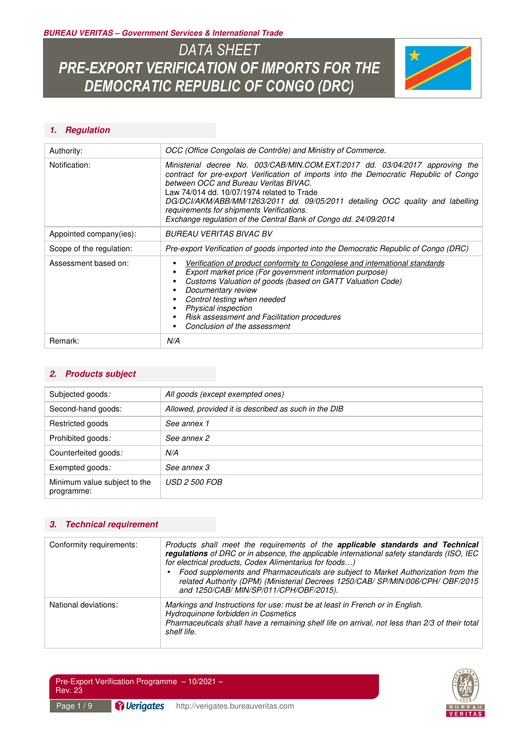*BUREAU VERITAS – Government Services & International Trade* 

# *DATA SHEET PRE-EXPORT VERIFICATION OF IMPORTS FOR THE DEMOCRATIC REPUBLIC OF CONGO (DRC)*



### *1. Regulation*

| Authority:               | OCC (Office Congolais de Contrôle) and Ministry of Commerce.                                                                                                                                                                                                                                                                                                                                                                                                   |  |  |  |  |
|--------------------------|----------------------------------------------------------------------------------------------------------------------------------------------------------------------------------------------------------------------------------------------------------------------------------------------------------------------------------------------------------------------------------------------------------------------------------------------------------------|--|--|--|--|
| Notification:            | Ministerial decree No. 003/CAB/MIN.COM.EXT/2017 dd. 03/04/2017 approving the<br>contract for pre-export Verification of imports into the Democratic Republic of Congo<br>between OCC and Bureau Veritas BIVAC.<br>Law 74/014 dd. 10/07/1974 related to Trade<br>DG/DCI/AKM/ABB/MM/1263/2011 dd. 09/05/2011 detailing OCC quality and labelling<br>requirements for shipments Verifications.<br>Exchange regulation of the Central Bank of Congo dd. 24/09/2014 |  |  |  |  |
| Appointed company(ies):  | BUREAU VERITAS BIVAC BV                                                                                                                                                                                                                                                                                                                                                                                                                                        |  |  |  |  |
| Scope of the regulation: | Pre-export Verification of goods imported into the Democratic Republic of Congo (DRC)                                                                                                                                                                                                                                                                                                                                                                          |  |  |  |  |
| Assessment based on:     | Verification of product conformity to Congolese and international standards<br>Export market price (For government information purpose)<br>Customs Valuation of goods (based on GATT Valuation Code)<br>Documentary review<br>Control testing when needed<br>Physical inspection<br>Risk assessment and Facilitation procedures<br>Conclusion of the assessment                                                                                                |  |  |  |  |
| Remark:                  | N/A                                                                                                                                                                                                                                                                                                                                                                                                                                                            |  |  |  |  |

### *2. Products subject*

| Subjected goods:                           | All goods (except exempted ones)                     |
|--------------------------------------------|------------------------------------------------------|
| Second-hand goods:                         | Allowed, provided it is described as such in the DIB |
| Restricted goods                           | See annex 1                                          |
| Prohibited goods:                          | See annex 2                                          |
| Counterfeited goods:                       | N/A                                                  |
| Exempted goods:                            | See annex 3                                          |
| Minimum value subject to the<br>programme: | <i>USD 2 500 FOB</i>                                 |

#### *3. Technical requirement*

| Conformity requirements: | Products shall meet the requirements of the applicable standards and Technical<br>regulations of DRC or in absence, the applicable international safety standards (ISO, IEC<br>for electrical products, Codex Alimentarius for foods)<br>Food supplements and Pharmaceuticals are subject to Market Authorization from the<br>related Authority (DPM) (Ministerial Decrees 1250/CAB/ SP/MIN/006/CPH/ OBF/2015<br>and 1250/CAB/ MIN/SP/011/CPH/OBF/2015). |
|--------------------------|----------------------------------------------------------------------------------------------------------------------------------------------------------------------------------------------------------------------------------------------------------------------------------------------------------------------------------------------------------------------------------------------------------------------------------------------------------|
| National deviations:     | Markings and Instructions for use: must be at least in French or in English.<br>Hydroquinone forbidden in Cosmetics<br>Pharmaceuticals shall have a remaining shelf life on arrival, not less than 2/3 of their total<br>shelf life.                                                                                                                                                                                                                     |



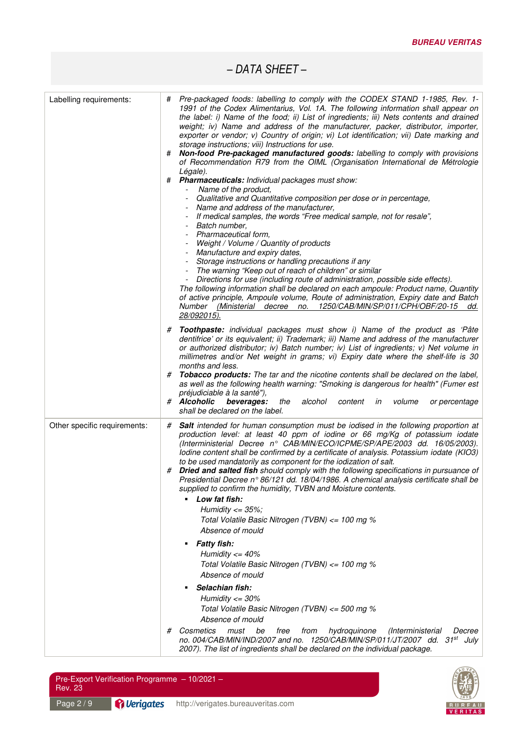| Labelling requirements:      | Pre-packaged foods: labelling to comply with the CODEX STAND 1-1985, Rev. 1-<br>#<br>1991 of the Codex Alimentarius, Vol. 1A. The following information shall appear on<br>the label: i) Name of the food; ii) List of ingredients; iii) Nets contents and drained<br>weight; iv) Name and address of the manufacturer, packer, distributor, importer,<br>exporter or vendor; v) Country of origin; vi) Lot identification; vii) Date marking and<br>storage instructions; viii) Instructions for use.<br>Non-food Pre-packaged manufactured goods: labelling to comply with provisions<br>of Recommendation R79 from the OIML (Organisation International de Métrologie<br>Légale).<br>#<br>Pharmaceuticals: Individual packages must show:<br>Name of the product,<br>Qualitative and Quantitative composition per dose or in percentage,<br>Name and address of the manufacturer,<br>If medical samples, the words "Free medical sample, not for resale",<br>Batch number,<br>Pharmaceutical form,<br>Weight / Volume / Quantity of products<br>- Manufacture and expiry dates,<br>Storage instructions or handling precautions if any<br>The warning "Keep out of reach of children" or similar<br>Directions for use (including route of administration, possible side effects).<br>The following information shall be declared on each ampoule: Product name, Quantity<br>of active principle, Ampoule volume, Route of administration, Expiry date and Batch<br>Number (Ministerial decree no. 1250/CAB/MIN/SP/011/CPH/OBF/20-15 dd.<br>28/092015).<br># Toothpaste: individual packages must show i) Name of the product as 'Pâte<br>dentifrice' or its equivalent; ii) Trademark; iii) Name and address of the manufacturer<br>or authorized distributor; iv) Batch number; iv) List of ingredients; v) Net volume in<br>millimetres and/or Net weight in grams; vi) Expiry date where the shelf-life is 30<br>months and less.<br>Tobacco products: The tar and the nicotine contents shall be declared on the label,<br>#<br>as well as the following health warning: "Smoking is dangerous for health" (Fumer est<br>préjudiciable à la santé"),<br># Alcoholic<br>beverages:<br>alcohol<br>the<br>content<br>in<br>volume<br>or percentage<br>shall be declared on the label. |
|------------------------------|--------------------------------------------------------------------------------------------------------------------------------------------------------------------------------------------------------------------------------------------------------------------------------------------------------------------------------------------------------------------------------------------------------------------------------------------------------------------------------------------------------------------------------------------------------------------------------------------------------------------------------------------------------------------------------------------------------------------------------------------------------------------------------------------------------------------------------------------------------------------------------------------------------------------------------------------------------------------------------------------------------------------------------------------------------------------------------------------------------------------------------------------------------------------------------------------------------------------------------------------------------------------------------------------------------------------------------------------------------------------------------------------------------------------------------------------------------------------------------------------------------------------------------------------------------------------------------------------------------------------------------------------------------------------------------------------------------------------------------------------------------------------------------------------------------------------------------------------------------------------------------------------------------------------------------------------------------------------------------------------------------------------------------------------------------------------------------------------------------------------------------------------------------------------------------------------------------------------------------------------------------------------------------------------|
| Other specific requirements: | <b>Salt</b> intended for human consumption must be iodised in the following proportion at<br>#<br>production level: at least 40 ppm of iodine or 66 mg/Kg of potassium iodate<br>(Interministerial Decree n° CAB/MIN/ECO/ICPME/SP/APE/2003 dd. 16/05/2003).<br>lodine content shall be confirmed by a certificate of analysis. Potassium iodate (KIO3)<br>to be used mandatorily as component for the iodization of salt.<br><b>Dried and salted fish</b> should comply with the following specifications in pursuance of<br>#<br>Presidential Decree n° 86/121 dd. 18/04/1986. A chemical analysis certificate shall be<br>supplied to confirm the humidity, TVBN and Moisture contents.<br>Low fat fish:<br>Humidity $\epsilon$ = 35%;<br>Total Volatile Basic Nitrogen (TVBN) <= 100 mg %<br>Absence of mould<br><b>Fatty fish:</b><br>Humidity $\epsilon$ = 40%<br>Total Volatile Basic Nitrogen (TVBN) <= 100 mg %<br>Absence of mould<br>Selachian fish:<br>Humidity $\epsilon$ = 30%<br>Total Volatile Basic Nitrogen (TVBN) <= 500 mg %<br>Absence of mould<br>Cosmetics<br>hydroquinone<br>(Interministerial<br>must<br>be<br>free<br>from<br>#<br>Decree<br>no. 004/CAB/MIN/IND/2007 and no. 1250/CAB/MIN/SP/011/JT/2007 dd. 31st<br>July<br>2007). The list of ingredients shall be declared on the individual package.                                                                                                                                                                                                                                                                                                                                                                                                                                                                                                                                                                                                                                                                                                                                                                                                                                                                                                                                                         |



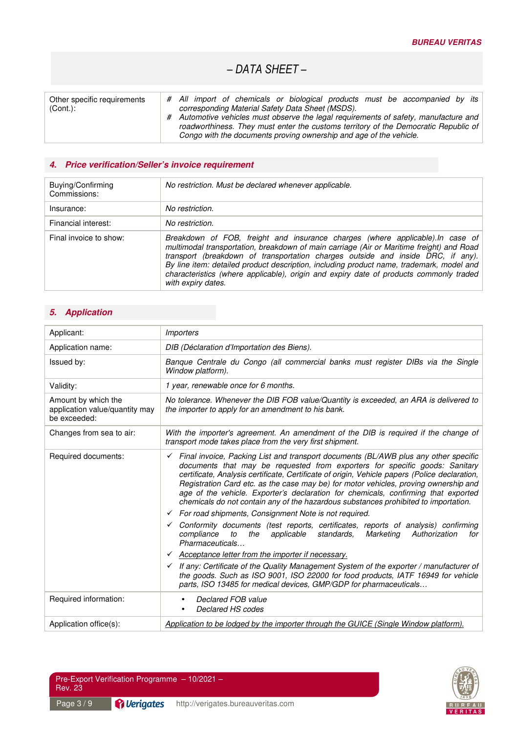| Other specific requirements | # All import of chemicals or biological products must be accompanied by its                                                                                                                                                                       |
|-----------------------------|---------------------------------------------------------------------------------------------------------------------------------------------------------------------------------------------------------------------------------------------------|
| $(Cont.)$ :                 | corresponding Material Safety Data Sheet (MSDS).                                                                                                                                                                                                  |
|                             | # Automotive vehicles must observe the legal requirements of safety, manufacture and<br>roadworthiness. They must enter the customs territory of the Democratic Republic of<br>Congo with the documents proving ownership and age of the vehicle. |

### *4. Price verification/Seller's invoice requirement*

| Buying/Confirming<br>Commissions: | No restriction. Must be declared whenever applicable.                                                                                                                                                                                                                                                                                                                                                                                                                     |  |  |
|-----------------------------------|---------------------------------------------------------------------------------------------------------------------------------------------------------------------------------------------------------------------------------------------------------------------------------------------------------------------------------------------------------------------------------------------------------------------------------------------------------------------------|--|--|
| Insurance:                        | No restriction.                                                                                                                                                                                                                                                                                                                                                                                                                                                           |  |  |
| Financial interest:               | No restriction.                                                                                                                                                                                                                                                                                                                                                                                                                                                           |  |  |
| Final invoice to show:            | Breakdown of FOB, freight and insurance charges (where applicable). In case of<br>multimodal transportation, breakdown of main carriage (Air or Maritime freight) and Road<br>transport (breakdown of transportation charges outside and inside DRC, if any).<br>By line item: detailed product description, including product name, trademark, model and<br>characteristics (where applicable), origin and expiry date of products commonly traded<br>with expiry dates. |  |  |

### *5. Application*

| Applicant:                                                            | <b>Importers</b>                                                                                                                                                                                                                                                                                                                                                                                                                                                                                                                                                                                                                                                                                                                                                                                                                                                                                                                                                                               |  |  |  |
|-----------------------------------------------------------------------|------------------------------------------------------------------------------------------------------------------------------------------------------------------------------------------------------------------------------------------------------------------------------------------------------------------------------------------------------------------------------------------------------------------------------------------------------------------------------------------------------------------------------------------------------------------------------------------------------------------------------------------------------------------------------------------------------------------------------------------------------------------------------------------------------------------------------------------------------------------------------------------------------------------------------------------------------------------------------------------------|--|--|--|
| Application name:                                                     | DIB (Déclaration d'Importation des Biens).                                                                                                                                                                                                                                                                                                                                                                                                                                                                                                                                                                                                                                                                                                                                                                                                                                                                                                                                                     |  |  |  |
| Issued by:                                                            | Banque Centrale du Congo (all commercial banks must register DIBs via the Single<br>Window platform).                                                                                                                                                                                                                                                                                                                                                                                                                                                                                                                                                                                                                                                                                                                                                                                                                                                                                          |  |  |  |
| Validity:                                                             | 1 year, renewable once for 6 months.                                                                                                                                                                                                                                                                                                                                                                                                                                                                                                                                                                                                                                                                                                                                                                                                                                                                                                                                                           |  |  |  |
| Amount by which the<br>application value/quantity may<br>be exceeded: | No tolerance. Whenever the DIB FOB value/Quantity is exceeded, an ARA is delivered to<br>the importer to apply for an amendment to his bank.                                                                                                                                                                                                                                                                                                                                                                                                                                                                                                                                                                                                                                                                                                                                                                                                                                                   |  |  |  |
| Changes from sea to air:                                              | With the importer's agreement. An amendment of the DIB is required if the change of<br>transport mode takes place from the very first shipment.                                                                                                                                                                                                                                                                                                                                                                                                                                                                                                                                                                                                                                                                                                                                                                                                                                                |  |  |  |
| Required documents:                                                   | $\checkmark$ Final invoice, Packing List and transport documents (BL/AWB plus any other specific<br>documents that may be requested from exporters for specific goods: Sanitary<br>certificate, Analysis certificate, Certificate of origin, Vehicle papers (Police declaration,<br>Registration Card etc. as the case may be) for motor vehicles, proving ownership and<br>age of the vehicle. Exporter's declaration for chemicals, confirming that exported<br>chemicals do not contain any of the hazardous substances prohibited to importation.<br>$\checkmark$ For road shipments, Consignment Note is not required.<br>Conformity documents (test reports, certificates, reports of analysis) confirming<br>compliance<br>to<br>the<br>applicable<br>standards.<br>Marketing<br>Authorization<br>for<br>Pharmaceuticals<br>Acceptance letter from the importer if necessary.<br>If any: Certificate of the Quality Management System of the exporter / manufacturer of<br>$\checkmark$ |  |  |  |
|                                                                       | the goods. Such as ISO 9001, ISO 22000 for food products, IATF 16949 for vehicle<br>parts, ISO 13485 for medical devices, GMP/GDP for pharmaceuticals                                                                                                                                                                                                                                                                                                                                                                                                                                                                                                                                                                                                                                                                                                                                                                                                                                          |  |  |  |
| Required information:                                                 | Declared FOB value<br>Declared HS codes                                                                                                                                                                                                                                                                                                                                                                                                                                                                                                                                                                                                                                                                                                                                                                                                                                                                                                                                                        |  |  |  |
| Application office(s):                                                | Application to be lodged by the importer through the GUICE (Single Window platform).                                                                                                                                                                                                                                                                                                                                                                                                                                                                                                                                                                                                                                                                                                                                                                                                                                                                                                           |  |  |  |

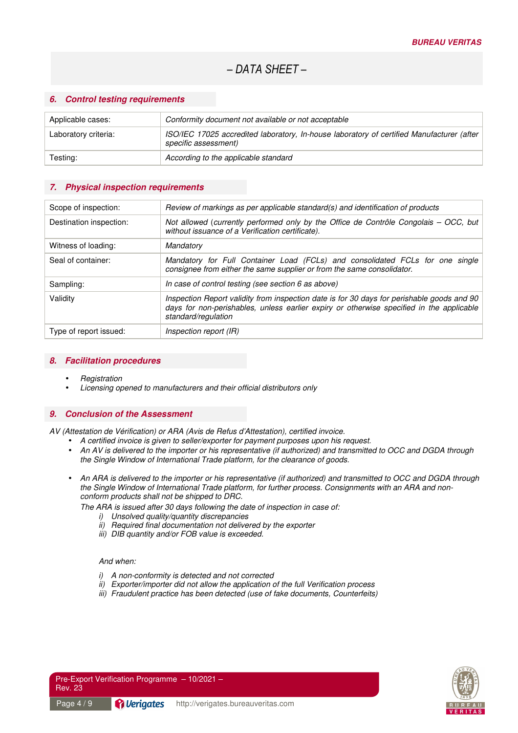### *6. Control testing requirements*

| Applicable cases:    | Conformity document not available or not acceptable                                                               |  |  |
|----------------------|-------------------------------------------------------------------------------------------------------------------|--|--|
| Laboratory criteria: | ISO/IEC 17025 accredited laboratory, In-house laboratory of certified Manufacturer (after<br>specific assessment) |  |  |
| Testing:             | According to the applicable standard                                                                              |  |  |

### *7. Physical inspection requirements*

| Scope of inspection:    | Review of markings as per applicable standard(s) and identification of products                                                                                                                               |  |  |  |
|-------------------------|---------------------------------------------------------------------------------------------------------------------------------------------------------------------------------------------------------------|--|--|--|
| Destination inspection: | Not allowed (currently performed only by the Office de Contrôle Congolais - OCC, but<br>without issuance of a Verification certificate).                                                                      |  |  |  |
| Witness of loading:     | Mandatory                                                                                                                                                                                                     |  |  |  |
| Seal of container:      | Mandatory for Full Container Load (FCLs) and consolidated FCLs for one single<br>consignee from either the same supplier or from the same consolidator.                                                       |  |  |  |
| Sampling:               | In case of control testing (see section 6 as above)                                                                                                                                                           |  |  |  |
| Validity                | Inspection Report validity from inspection date is for 30 days for perishable goods and 90<br>days for non-perishables, unless earlier expiry or otherwise specified in the applicable<br>standard/regulation |  |  |  |
| Type of report issued:  | Inspection report (IR)                                                                                                                                                                                        |  |  |  |

#### *8. Facilitation procedures*

- **Registration**
- Licensing opened to manufacturers and their official distributors only

#### *9. Conclusion of the Assessment*

AV (Attestation de Vérification) or ARA (Avis de Refus d'Attestation), certified invoice.

- A certified invoice is given to seller/exporter for payment purposes upon his request.
- An AV is delivered to the importer or his representative (if authorized) and transmitted to OCC and DGDA through the Single Window of International Trade platform, for the clearance of goods.
- An ARA is delivered to the importer or his representative (if authorized) and transmitted to OCC and DGDA through the Single Window of International Trade platform, for further process. Consignments with an ARA and nonconform products shall not be shipped to DRC.

The ARA is issued after 30 days following the date of inspection in case of:

- i) Unsolved quality/quantity discrepancies
- ii) Required final documentation not delivered by the exporter
- iii) DIB quantity and/or FOB value is exceeded.

#### And when:

- i) A non-conformity is detected and not corrected
- ii) Exporter/importer did not allow the application of the full Verification process
- iii) Fraudulent practice has been detected (use of fake documents, Counterfeits)



Pre-Export Verification Programme – 10/2021 – Rev. 23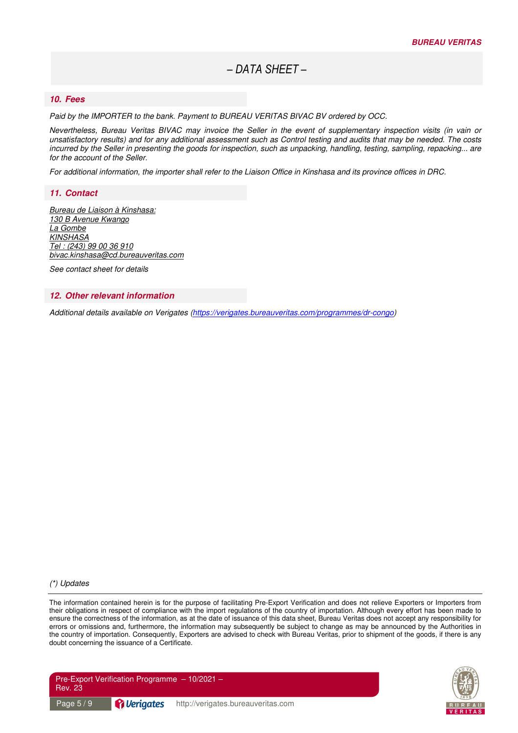### *10. Fees*

Paid by the IMPORTER to the bank. Payment to BUREAU VERITAS BIVAC BV ordered by OCC.

Nevertheless, Bureau Veritas BIVAC may invoice the Seller in the event of supplementary inspection visits (in vain or unsatisfactory results) and for any additional assessment such as Control testing and audits that may be needed. The costs incurred by the Seller in presenting the goods for inspection, such as unpacking, handling, testing, sampling, repacking... are for the account of the Seller.

For additional information, the importer shall refer to the Liaison Office in Kinshasa and its province offices in DRC.

#### *11. Contact*

Bureau de Liaison à Kinshasa: 130 B Avenue Kwango La Gombe **KINSHASA** Tel : (243) 99 00 36 910 bivac.kinshasa@cd.bureauveritas.com

See contact sheet for details

#### *12. Other relevant information*

Additional details available on Verigates (https://verigates.bureauveritas.com/programmes/dr-congo)

#### (\*) Updates

The information contained herein is for the purpose of facilitating Pre-Export Verification and does not relieve Exporters or Importers from their obligations in respect of compliance with the import regulations of the country of importation. Although every effort has been made to ensure the correctness of the information, as at the date of issuance of this data sheet, Bureau Veritas does not accept any responsibility for errors or omissions and, furthermore, the information may subsequently be subject to change as may be announced by the Authorities in the country of importation. Consequently, Exporters are advised to check with Bureau Veritas, prior to shipment of the goods, if there is any doubt concerning the issuance of a Certificate.



| Pre-Export Verification Programme $-10/2021-$<br><b>Rev. 23</b> |                    |                                    |  |
|-----------------------------------------------------------------|--------------------|------------------------------------|--|
| l Page 5 / 9 <sup>1</sup>                                       | <b>P</b> Verigates | http://verigates.bureauveritas.com |  |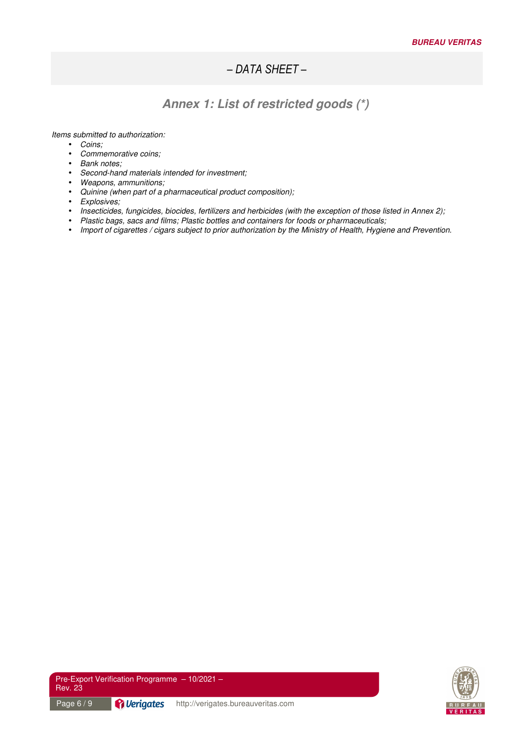# *Annex 1: List of restricted goods (\*)*

Items submitted to authorization:

- Coins;
- Commemorative coins;
- Bank notes;
- Second-hand materials intended for investment;
- Weapons, ammunitions;
- Quinine (when part of a pharmaceutical product composition);
- Explosives;
- Insecticides, fungicides, biocides, fertilizers and herbicides (with the exception of those listed in Annex 2);
- Plastic bags, sacs and films; Plastic bottles and containers for foods or pharmaceuticals;
- Import of cigarettes / cigars subject to prior authorization by the Ministry of Health, Hygiene and Prevention.

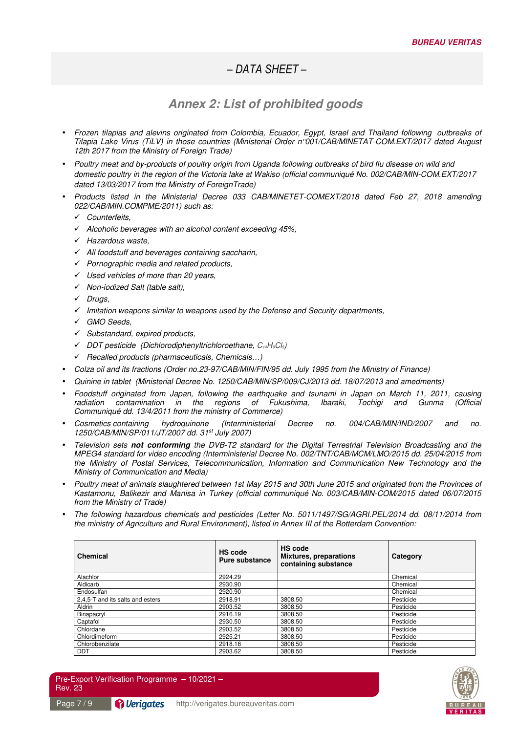### *Annex 2: List of prohibited goods*

- Frozen tilapias and alevins originated from Colombia, Ecuador, Egypt, Israel and Thailand following outbreaks of Tilapia Lake Virus (TiLV) in those countries (Ministerial Order n°001/CAB/MINETAT-COM.EXT/2017 dated August 12th 2017 from the Ministry of Foreign Trade)
- Poultry meat and by-products of poultry origin from Uganda following outbreaks of bird flu disease on wild and domestic poultry in the region of the Victoria lake at Wakiso (official communiqué No. 002/CAB/MIN-COM.EXT/2017 dated 13/03/2017 from the Ministry of ForeignTrade)
- Products listed in the Ministerial Decree 033 CAB/MINETET-COMEXT/2018 dated Feb 27, 2018 amending 022/CAB/MIN.COMPME/2011) such as:
	- Counterfeits,
	- $\checkmark$  Alcoholic beverages with an alcohol content exceeding 45%,
	- $\checkmark$  Hazardous waste,
	- $\checkmark$  All foodstuff and beverages containing saccharin,
	- $\checkmark$  Pornographic media and related products,
	- $\checkmark$  Used vehicles of more than 20 years,
	- $\checkmark$  Non-iodized Salt (table salt),
	- $\checkmark$  Drugs,
	- $\checkmark$  Imitation weapons similar to weapons used by the Defense and Security departments,
	- GMO Seeds,
	- $\checkmark$  Substandard, expired products,
	- $\checkmark$  DDT pesticide (Dichlorodiphenyltrichloroethane,  $C_{14}H_9Cl_5$ )
	- $\checkmark$  Recalled products (pharmaceuticals, Chemicals...)
- Colza oil and its fractions (Order no.23-97/CAB/MIN/FIN/95 dd. July 1995 from the Ministry of Finance)
- Quinine in tablet (Ministerial Decree No. 1250/CAB/MIN/SP/009/CJ/2013 dd. 18/07/2013 and amedments)
- Foodstuff originated from Japan, following the earthquake and tsunami in Japan on March 11, 2011, causing radiation contamination in the regions of Fukushima, Ibaraki, Tochigi and Gunma (Official Communiqué dd. 13/4/2011 from the ministry of Commerce)
- Cosmetics containing hydroquinone (Interministerial Decree no. 004/CAB/MIN/IND/2007 and no. 1250/CAB/MIN/SP/011/JT/2007 dd. 31st July 2007)
- Television sets *not conforming* the DVB-T2 standard for the Digital Terrestrial Television Broadcasting and the MPEG4 standard for video encoding (Interministerial Decree No. 002/TNT/CAB/MCM/LMO/2015 dd. 25/04/2015 from the Ministry of Postal Services, Telecommunication, Information and Communication New Technology and the Ministry of Communication and Media)
- Poultry meat of animals slaughtered between 1st May 2015 and 30th June 2015 and originated from the Provinces of Kastamonu, Balikezir and Manisa in Turkey (official communiqué No. 003/CAB/MIN-COM/2015 dated 06/07/2015 from the Ministry of Trade)
- The following hazardous chemicals and pesticides (Letter No. 5011/1497/SG/AGRI.PEL/2014 dd. 08/11/2014 from the ministry of Agriculture and Rural Environment), listed in Annex III of the Rotterdam Convention:

| <b>Chemical</b>                  | HS code<br><b>Pure substance</b> | <b>HS code</b><br><b>Mixtures, preparations</b><br>containing substance | Category  |
|----------------------------------|----------------------------------|-------------------------------------------------------------------------|-----------|
| Alachlor                         | 2924.29                          |                                                                         | Chemical  |
| Aldicarb                         | 2930.90                          |                                                                         | Chemical  |
| Endosulfan                       | 2920.90                          |                                                                         | Chemical  |
| 2.4.5-T and its salts and esters | 2918.91                          | 3808.50                                                                 | Pesticide |
| Aldrin                           | 2903.52                          | 3808.50                                                                 | Pesticide |
| Binapacryl                       | 2916.19                          | 3808.50                                                                 | Pesticide |
| Captafol                         | 2930.50                          | 3808.50                                                                 | Pesticide |
| Chlordane                        | 2903.52                          | 3808.50                                                                 | Pesticide |
| Chlordimeform                    | 2925.21                          | 3808.50                                                                 | Pesticide |
| Chlorobenzilate                  | 2918.18                          | 3808.50                                                                 | Pesticide |
| DDT                              | 2903.62                          | 3808.50                                                                 | Pesticide |



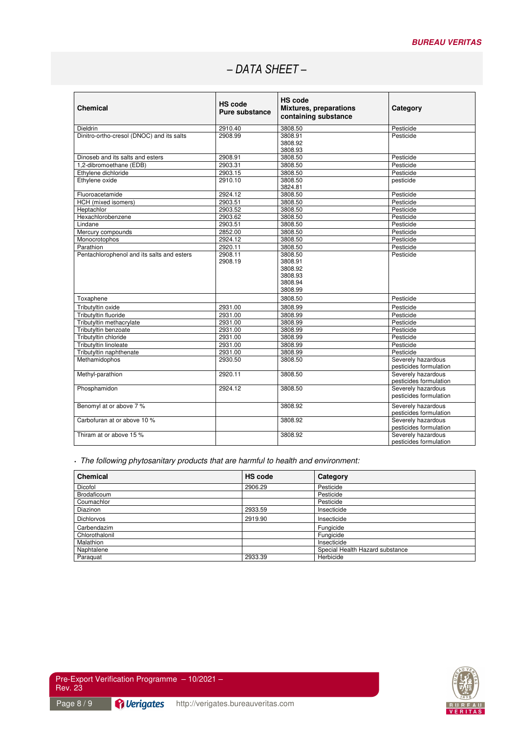| Chemical                                   | <b>HS</b> code<br>Pure substance | <b>HS code</b><br><b>Mixtures, preparations</b><br>containing substance | Category                                     |
|--------------------------------------------|----------------------------------|-------------------------------------------------------------------------|----------------------------------------------|
| Dieldrin                                   | 2910.40                          | 3808.50                                                                 | Pesticide                                    |
| Dinitro-ortho-cresol (DNOC) and its salts  | 2908.99                          | 3808.91<br>3808.92<br>3808.93                                           | Pesticide                                    |
| Dinoseb and its salts and esters           | 2908.91                          | 3808.50                                                                 | Pesticide                                    |
| 1,2-dibromoethane (EDB)                    | 2903.31                          | 3808.50                                                                 | Pesticide                                    |
| Ethylene dichloride                        | 2903.15                          | 3808.50                                                                 | Pesticide                                    |
| Ethylene oxide                             | 2910.10                          | 3808.50<br>3824.81                                                      | pesticide                                    |
| Fluoroacetamide                            | 2924.12                          | 3808.50                                                                 | Pesticide                                    |
| HCH (mixed isomers)                        | 2903.51                          | 3808.50                                                                 | Pesticide                                    |
| Heptachlor                                 | 2903.52                          | 3808.50                                                                 | Pesticide                                    |
| Hexachlorobenzene                          | 2903.62                          | 3808.50                                                                 | Pesticide                                    |
| Lindane                                    | 2903.51                          | 3808.50                                                                 | Pesticide                                    |
| Mercury compounds                          | 2852.00                          | 3808.50                                                                 | Pesticide                                    |
| Monocrotophos                              | 2924.12                          | 3808.50                                                                 | Pesticide                                    |
| Parathion                                  | 2920.11                          | 3808.50                                                                 | Pesticide                                    |
| Pentachlorophenol and its salts and esters | 2908.11<br>2908.19               | 3808.50<br>3808.91<br>3808.92<br>3808.93<br>3808.94<br>3808.99          | Pesticide                                    |
| Toxaphene                                  |                                  | 3808.50                                                                 | Pesticide                                    |
| Tributyltin oxide                          | 2931.00                          | 3808.99                                                                 | Pesticide                                    |
| Tributyltin fluoride                       | 2931.00                          | 3808.99                                                                 | Pesticide                                    |
| Tributyltin methacrylate                   | 2931.00                          | 3808.99                                                                 | Pesticide                                    |
| Tributyltin benzoate                       | 2931.00                          | 3808.99                                                                 | Pesticide                                    |
| Tributyltin chloride                       | 2931.00                          | 3808.99                                                                 | Pesticide                                    |
| Tributyltin linoleate                      | 2931.00                          | 3808.99                                                                 | Pesticide                                    |
| Tributyltin naphthenate                    | 2931.00                          | 3808.99                                                                 | Pesticide                                    |
| Methamidophos                              | 2930.50                          | 3808.50                                                                 | Severely hazardous<br>pesticides formulation |
| Methyl-parathion                           | 2920.11                          | 3808.50                                                                 | Severely hazardous<br>pesticides formulation |
| Phosphamidon                               | 2924.12                          | 3808.50                                                                 | Severely hazardous<br>pesticides formulation |
| Benomyl at or above 7 %                    |                                  | 3808.92                                                                 | Severely hazardous<br>pesticides formulation |
| Carbofuran at or above 10 %                |                                  | 3808.92                                                                 | Severely hazardous<br>pesticides formulation |
| Thiram at or above 15 %                    |                                  | 3808.92                                                                 | Severely hazardous<br>pesticides formulation |

• The following phytosanitary products that are harmful to health and environment:

| <b>Chemical</b>   | <b>HS</b> code | Category                        |
|-------------------|----------------|---------------------------------|
| Dicofol           | 2906.29        | Pesticide                       |
| Brodaficoum       |                | Pesticide                       |
| Coumachlor        |                | Pesticide                       |
| Diazinon          | 2933.59        | Insecticide                     |
| <b>Dichlorvos</b> | 2919.90        | Insecticide                     |
| Carbendazim       |                | Fungicide                       |
| Chlorothalonil    |                | Fungicide                       |
| Malathion         |                | Insecticide                     |
| Naphtalene        |                | Special Health Hazard substance |
| Paraguat          | 2933.39        | Herbicide                       |